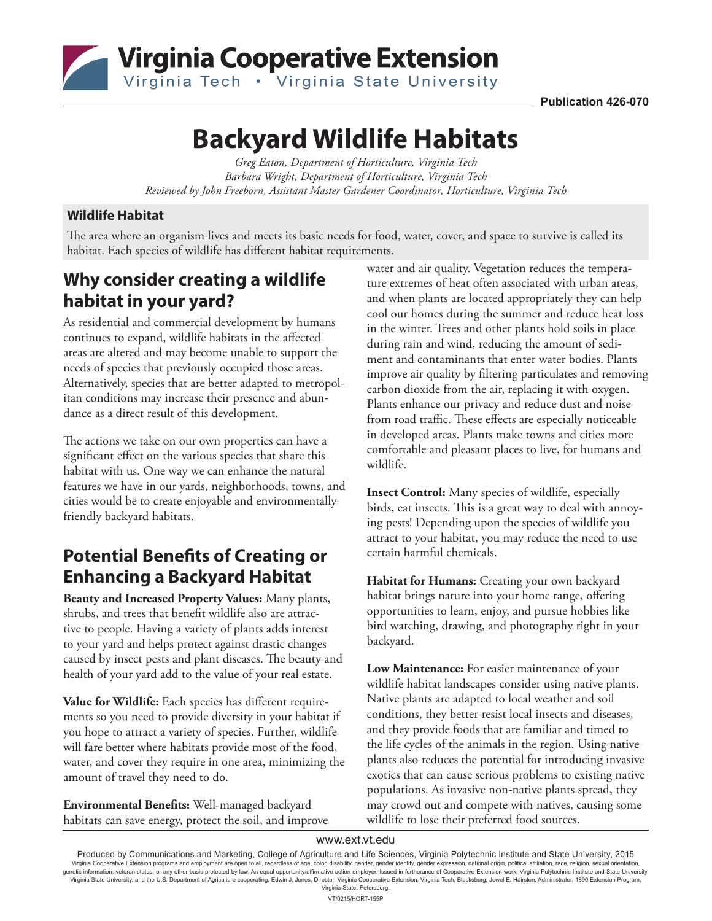

**Publication 426-070**

# **Backyard Wildlife Habitats**

*Greg Eaton, Department of Horticulture, Virginia Tech Barbara Wright, Department of Horticulture, Virginia Tech Reviewed by John Freeborn, Assistant Master Gardener Coordinator, Horticulture, Virginia Tech*

#### **Wildlife Habitat**

The area where an organism lives and meets its basic needs for food, water, cover, and space to survive is called its habitat. Each species of wildlife has different habitat requirements.

### **Why consider creating a wildlife habitat in your yard?**

As residential and commercial development by humans continues to expand, wildlife habitats in the affected areas are altered and may become unable to support the needs of species that previously occupied those areas. Alternatively, species that are better adapted to metropolitan conditions may increase their presence and abundance as a direct result of this development.

The actions we take on our own properties can have a significant effect on the various species that share this habitat with us. One way we can enhance the natural features we have in our yards, neighborhoods, towns, and cities would be to create enjoyable and environmentally friendly backyard habitats.

### **Potential Benefits of Creating or Enhancing a Backyard Habitat**

**Beauty and Increased Property Values:** Many plants, shrubs, and trees that benefit wildlife also are attractive to people. Having a variety of plants adds interest to your yard and helps protect against drastic changes caused by insect pests and plant diseases. The beauty and health of your yard add to the value of your real estate.

**Value for Wildlife:** Each species has different requirements so you need to provide diversity in your habitat if you hope to attract a variety of species. Further, wildlife will fare better where habitats provide most of the food, water, and cover they require in one area, minimizing the amount of travel they need to do.

**Environmental Benefits:** Well-managed backyard habitats can save energy, protect the soil, and improve

water and air quality. Vegetation reduces the temperature extremes of heat often associated with urban areas, and when plants are located appropriately they can help cool our homes during the summer and reduce heat loss in the winter. Trees and other plants hold soils in place during rain and wind, reducing the amount of sediment and contaminants that enter water bodies. Plants improve air quality by filtering particulates and removing carbon dioxide from the air, replacing it with oxygen. Plants enhance our privacy and reduce dust and noise from road traffic. These effects are especially noticeable in developed areas. Plants make towns and cities more comfortable and pleasant places to live, for humans and wildlife.

**Insect Control:** Many species of wildlife, especially birds, eat insects. This is a great way to deal with annoying pests! Depending upon the species of wildlife you attract to your habitat, you may reduce the need to use certain harmful chemicals.

**Habitat for Humans:** Creating your own backyard habitat brings nature into your home range, offering opportunities to learn, enjoy, and pursue hobbies like bird watching, drawing, and photography right in your backyard.

**Low Maintenance:** For easier maintenance of your wildlife habitat landscapes consider using native plants. Native plants are adapted to local weather and soil conditions, they better resist local insects and diseases, and they provide foods that are familiar and timed to the life cycles of the animals in the region. Using native plants also reduces the potential for introducing invasive exotics that can cause serious problems to existing native populations. As invasive non-native plants spread, they may crowd out and compete with natives, causing some wildlife to lose their preferred food sources.

www.ext.vt.edu

Produced by Communications and Marketing, College of Agriculture and Life Sciences, Virginia Polytechnic Institute and State University, 2015 Virginia Cooperative Extension programs and employment are open to all, regardless of age, color, disability, gender, gender identity, gender expression, national origin, political affiliation, race, religion, sexual orien Virginia State University, and the U.S. Department of Agriculture cooperating. Edwin J. Jones, Director, Virginia Cooperative Extension, Virginia Tech, Blacksburg; Jewel E. Hairston, Administrator, 1890 Extension Program, Virginia State, Petersburg. VT/0215/HORT-155P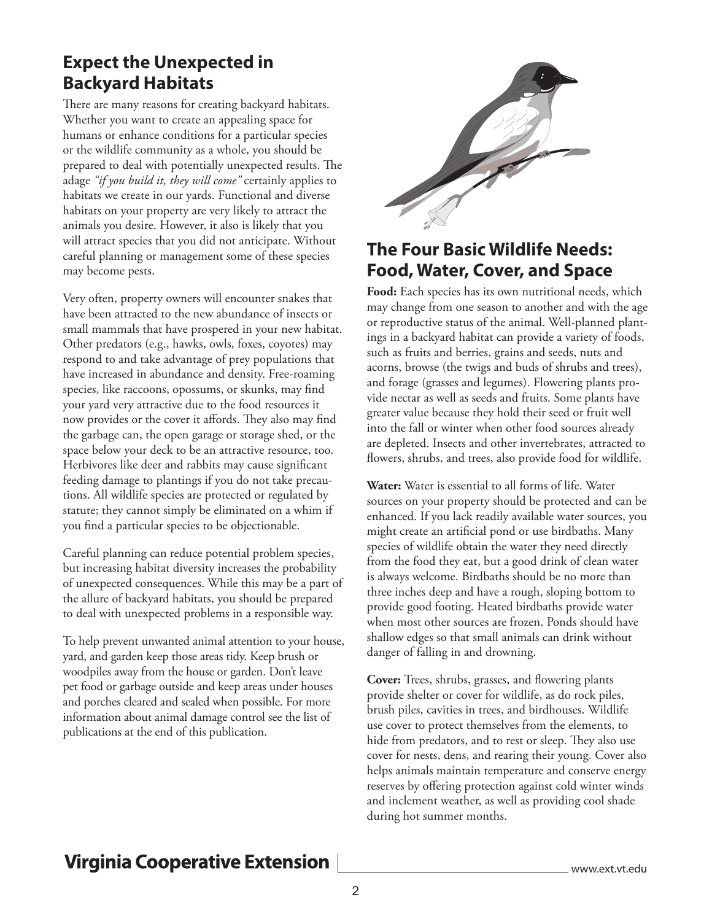### **Expect the Unexpected in Backyard Habitats**

There are many reasons for creating backyard habitats. Whether you want to create an appealing space for humans or enhance conditions for a particular species or the wildlife community as a whole, you should be prepared to deal with potentially unexpected results. The adage *"if you build it, they will come"* certainly applies to habitats we create in our yards. Functional and diverse habitats on your property are very likely to attract the animals you desire. However, it also is likely that you will attract species that you did not anticipate. Without careful planning or management some of these species may become pests.

Very often, property owners will encounter snakes that have been attracted to the new abundance of insects or small mammals that have prospered in your new habitat. Other predators (e.g., hawks, owls, foxes, coyotes) may respond to and take advantage of prey populations that have increased in abundance and density. Free-roaming species, like raccoons, opossums, or skunks, may find your yard very attractive due to the food resources it now provides or the cover it affords. They also may find the garbage can, the open garage or storage shed, or the space below your deck to be an attractive resource, too. Herbivores like deer and rabbits may cause significant feeding damage to plantings if you do not take precautions. All wildlife species are protected or regulated by statute; they cannot simply be eliminated on a whim if you find a particular species to be objectionable.

Careful planning can reduce potential problem species, but increasing habitat diversity increases the probability of unexpected consequences. While this may be a part of the allure of backyard habitats, you should be prepared to deal with unexpected problems in a responsible way.

To help prevent unwanted animal attention to your house, yard, and garden keep those areas tidy. Keep brush or woodpiles away from the house or garden. Don't leave pet food or garbage outside and keep areas under houses and porches cleared and sealed when possible. For more information about animal damage control see the list of publications at the end of this publication.



### **The Four Basic Wildlife Needs: Food, Water, Cover, and Space**

**Food:** Each species has its own nutritional needs, which may change from one season to another and with the age or reproductive status of the animal. Well-planned plantings in a backyard habitat can provide a variety of foods, such as fruits and berries, grains and seeds, nuts and acorns, browse (the twigs and buds of shrubs and trees), and forage (grasses and legumes). Flowering plants provide nectar as well as seeds and fruits. Some plants have greater value because they hold their seed or fruit well into the fall or winter when other food sources already are depleted. Insects and other invertebrates, attracted to flowers, shrubs, and trees, also provide food for wildlife.

**Water:** Water is essential to all forms of life. Water sources on your property should be protected and can be enhanced. If you lack readily available water sources, you might create an artificial pond or use birdbaths. Many species of wildlife obtain the water they need directly from the food they eat, but a good drink of clean water is always welcome. Birdbaths should be no more than three inches deep and have a rough, sloping bottom to provide good footing. Heated birdbaths provide water when most other sources are frozen. Ponds should have shallow edges so that small animals can drink without danger of falling in and drowning.

**Cover:** Trees, shrubs, grasses, and flowering plants provide shelter or cover for wildlife, as do rock piles, brush piles, cavities in trees, and birdhouses. Wildlife use cover to protect themselves from the elements, to hide from predators, and to rest or sleep. They also use cover for nests, dens, and rearing their young. Cover also helps animals maintain temperature and conserve energy reserves by offering protection against cold winter winds and inclement weather, as well as providing cool shade during hot summer months.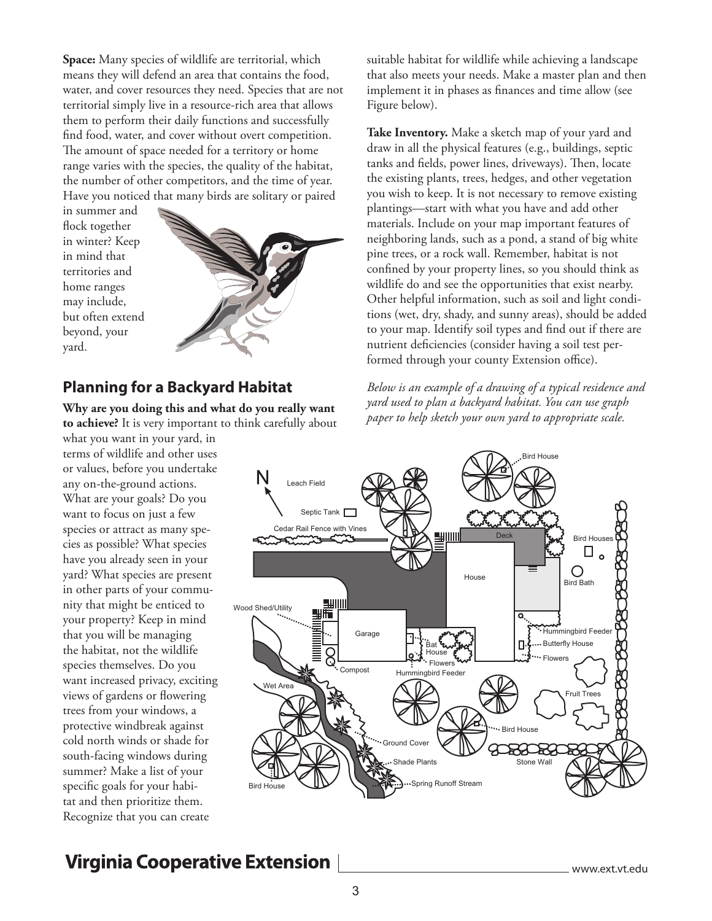**Space:** Many species of wildlife are territorial, which means they will defend an area that contains the food, water, and cover resources they need. Species that are not territorial simply live in a resource-rich area that allows them to perform their daily functions and successfully find food, water, and cover without overt competition. The amount of space needed for a territory or home range varies with the species, the quality of the habitat, the number of other competitors, and the time of year. Have you noticed that many birds are solitary or paired

in summer and flock together in winter? Keep in mind that territories and home ranges may include, but often extend beyond, your yard.



#### **Planning for a Backyard Habitat**

**Why are you doing this and what do you really want to achieve?** It is very important to think carefully about

what you want in your yard, in terms of wildlife and other uses or values, before you undertake any on-the-ground actions. What are your goals? Do you want to focus on just a few species or attract as many species as possible? What species have you already seen in your yard? What species are present in other parts of your community that might be enticed to your property? Keep in mind that you will be managing the habitat, not the wildlife species themselves. Do you want increased privacy, exciting views of gardens or flowering trees from your windows, a protective windbreak against cold north winds or shade for south-facing windows during summer? Make a list of your specific goals for your habitat and then prioritize them. Recognize that you can create

suitable habitat for wildlife while achieving a landscape that also meets your needs. Make a master plan and then implement it in phases as finances and time allow (see Figure below).

**Take Inventory.** Make a sketch map of your yard and draw in all the physical features (e.g., buildings, septic tanks and fields, power lines, driveways). Then, locate the existing plants, trees, hedges, and other vegetation you wish to keep. It is not necessary to remove existing plantings—start with what you have and add other materials. Include on your map important features of neighboring lands, such as a pond, a stand of big white pine trees, or a rock wall. Remember, habitat is not confined by your property lines, so you should think as wildlife do and see the opportunities that exist nearby. Other helpful information, such as soil and light conditions (wet, dry, shady, and sunny areas), should be added to your map. Identify soil types and find out if there are nutrient deficiencies (consider having a soil test performed through your county Extension office).

*Below is an example of a drawing of a typical residence and yard used to plan a backyard habitat. You can use graph paper to help sketch your own yard to appropriate scale.*

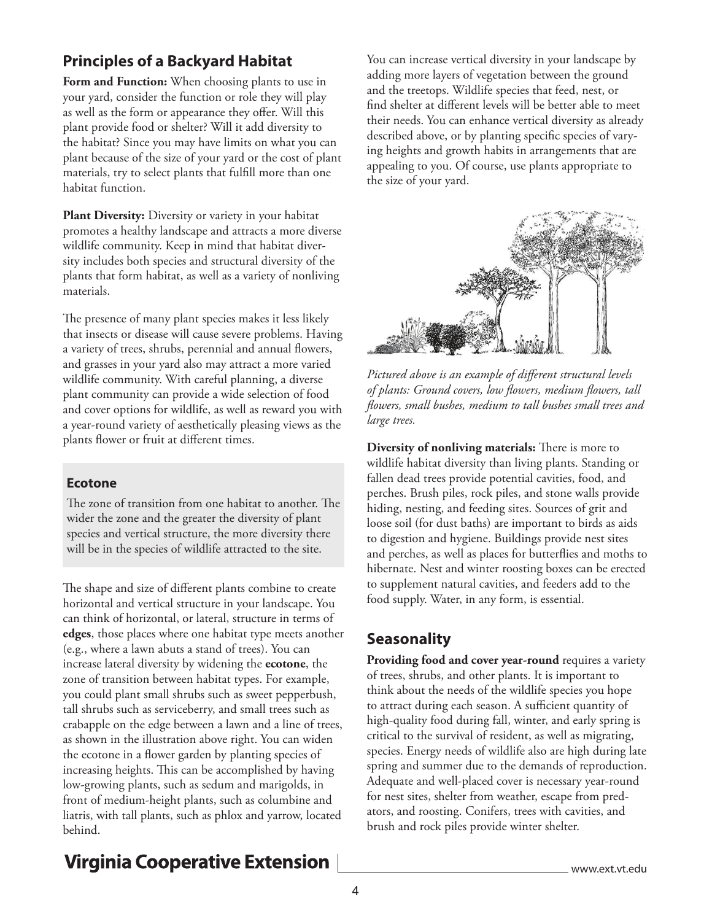### **Principles of a Backyard Habitat**

**Form and Function:** When choosing plants to use in your yard, consider the function or role they will play as well as the form or appearance they offer. Will this plant provide food or shelter? Will it add diversity to the habitat? Since you may have limits on what you can plant because of the size of your yard or the cost of plant materials, try to select plants that fulfill more than one habitat function.

**Plant Diversity:** Diversity or variety in your habitat promotes a healthy landscape and attracts a more diverse wildlife community. Keep in mind that habitat diversity includes both species and structural diversity of the plants that form habitat, as well as a variety of nonliving materials.

The presence of many plant species makes it less likely that insects or disease will cause severe problems. Having a variety of trees, shrubs, perennial and annual flowers, and grasses in your yard also may attract a more varied wildlife community. With careful planning, a diverse plant community can provide a wide selection of food and cover options for wildlife, as well as reward you with a year-round variety of aesthetically pleasing views as the plants flower or fruit at different times.

#### **Ecotone**

The zone of transition from one habitat to another. The wider the zone and the greater the diversity of plant species and vertical structure, the more diversity there will be in the species of wildlife attracted to the site.

The shape and size of different plants combine to create horizontal and vertical structure in your landscape. You can think of horizontal, or lateral, structure in terms of **edges**, those places where one habitat type meets another (e.g., where a lawn abuts a stand of trees). You can increase lateral diversity by widening the **ecotone**, the zone of transition between habitat types. For example, you could plant small shrubs such as sweet pepperbush, tall shrubs such as serviceberry, and small trees such as crabapple on the edge between a lawn and a line of trees, as shown in the illustration above right. You can widen the ecotone in a flower garden by planting species of increasing heights. This can be accomplished by having low-growing plants, such as sedum and marigolds, in front of medium-height plants, such as columbine and liatris, with tall plants, such as phlox and yarrow, located behind.

You can increase vertical diversity in your landscape by adding more layers of vegetation between the ground and the treetops. Wildlife species that feed, nest, or find shelter at different levels will be better able to meet their needs. You can enhance vertical diversity as already described above, or by planting specific species of varying heights and growth habits in arrangements that are appealing to you. Of course, use plants appropriate to the size of your yard.



*Pictured above is an example of different structural levels of plants: Ground covers, low flowers, medium flowers, tall flowers, small bushes, medium to tall bushes small trees and large trees.*

**Diversity of nonliving materials:** There is more to wildlife habitat diversity than living plants. Standing or fallen dead trees provide potential cavities, food, and perches. Brush piles, rock piles, and stone walls provide hiding, nesting, and feeding sites. Sources of grit and loose soil (for dust baths) are important to birds as aids to digestion and hygiene. Buildings provide nest sites and perches, as well as places for butterflies and moths to hibernate. Nest and winter roosting boxes can be erected to supplement natural cavities, and feeders add to the food supply. Water, in any form, is essential.

#### **Seasonality**

Providing food and cover year-round requires a variety of trees, shrubs, and other plants. It is important to think about the needs of the wildlife species you hope to attract during each season. A sufficient quantity of high-quality food during fall, winter, and early spring is critical to the survival of resident, as well as migrating, species. Energy needs of wildlife also are high during late spring and summer due to the demands of reproduction. Adequate and well-placed cover is necessary year-round for nest sites, shelter from weather, escape from predators, and roosting. Conifers, trees with cavities, and brush and rock piles provide winter shelter.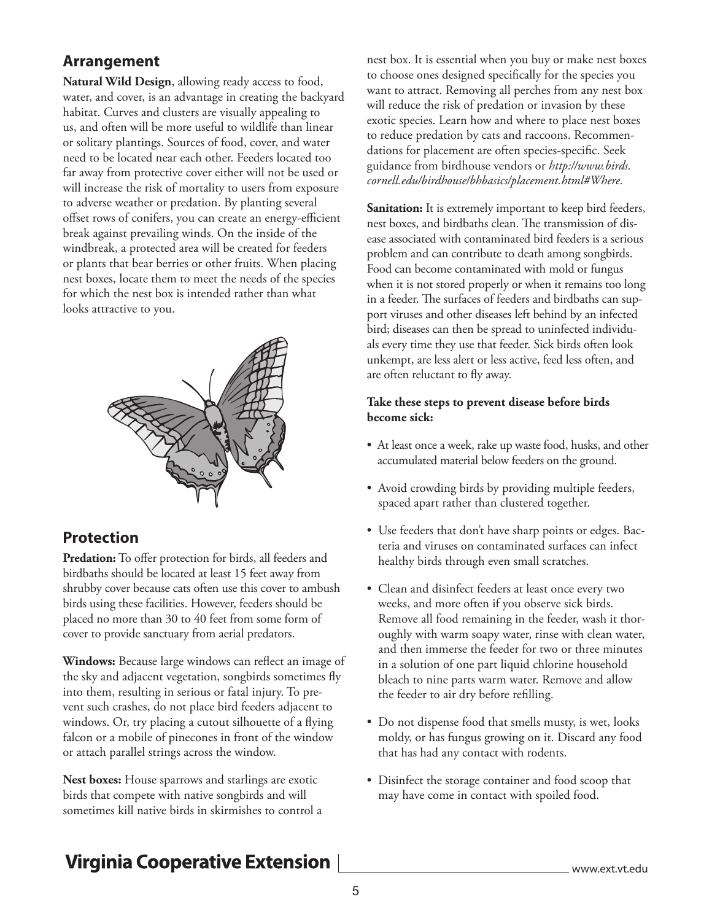#### **Arrangement**

**Natural Wild Design**, allowing ready access to food, water, and cover, is an advantage in creating the backyard habitat. Curves and clusters are visually appealing to us, and often will be more useful to wildlife than linear or solitary plantings. Sources of food, cover, and water need to be located near each other. Feeders located too far away from protective cover either will not be used or will increase the risk of mortality to users from exposure to adverse weather or predation. By planting several offset rows of conifers, you can create an energy-efficient break against prevailing winds. On the inside of the windbreak, a protected area will be created for feeders or plants that bear berries or other fruits. When placing nest boxes, locate them to meet the needs of the species for which the nest box is intended rather than what looks attractive to you.



#### **Protection**

Predation: To offer protection for birds, all feeders and birdbaths should be located at least 15 feet away from shrubby cover because cats often use this cover to ambush birds using these facilities. However, feeders should be placed no more than 30 to 40 feet from some form of cover to provide sanctuary from aerial predators.

**Windows:** Because large windows can reflect an image of the sky and adjacent vegetation, songbirds sometimes fly into them, resulting in serious or fatal injury. To prevent such crashes, do not place bird feeders adjacent to windows. Or, try placing a cutout silhouette of a flying falcon or a mobile of pinecones in front of the window or attach parallel strings across the window.

**Nest boxes:** House sparrows and starlings are exotic birds that compete with native songbirds and will sometimes kill native birds in skirmishes to control a nest box. It is essential when you buy or make nest boxes to choose ones designed specifically for the species you want to attract. Removing all perches from any nest box will reduce the risk of predation or invasion by these exotic species. Learn how and where to place nest boxes to reduce predation by cats and raccoons. Recommendations for placement are often species-specific. Seek guidance from birdhouse vendors or *http://www.birds. cornell.edu/birdhouse/bhbasics/placement.html#Where.* 

**Sanitation:** It is extremely important to keep bird feeders, nest boxes, and birdbaths clean. The transmission of disease associated with contaminated bird feeders is a serious problem and can contribute to death among songbirds. Food can become contaminated with mold or fungus when it is not stored properly or when it remains too long in a feeder. The surfaces of feeders and birdbaths can support viruses and other diseases left behind by an infected bird; diseases can then be spread to uninfected individuals every time they use that feeder. Sick birds often look unkempt, are less alert or less active, feed less often, and are often reluctant to fly away.

#### **Take these steps to prevent disease before birds become sick:**

- At least once a week, rake up waste food, husks, and other accumulated material below feeders on the ground.
- Avoid crowding birds by providing multiple feeders, spaced apart rather than clustered together.
- Use feeders that don't have sharp points or edges. Bacteria and viruses on contaminated surfaces can infect healthy birds through even small scratches.
- Clean and disinfect feeders at least once every two weeks, and more often if you observe sick birds. Remove all food remaining in the feeder, wash it thoroughly with warm soapy water, rinse with clean water, and then immerse the feeder for two or three minutes in a solution of one part liquid chlorine household bleach to nine parts warm water. Remove and allow the feeder to air dry before refilling.
- Do not dispense food that smells musty, is wet, looks moldy, or has fungus growing on it. Discard any food that has had any contact with rodents.
- Disinfect the storage container and food scoop that may have come in contact with spoiled food.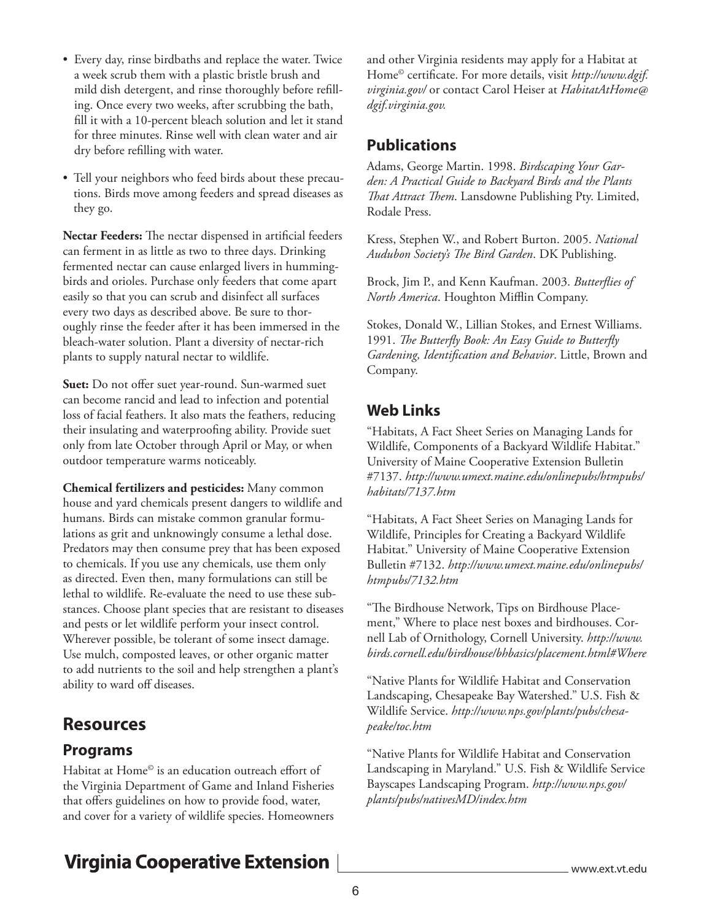- Every day, rinse birdbaths and replace the water. Twice a week scrub them with a plastic bristle brush and mild dish detergent, and rinse thoroughly before refilling. Once every two weeks, after scrubbing the bath, fill it with a 10-percent bleach solution and let it stand for three minutes. Rinse well with clean water and air dry before refilling with water.
- Tell your neighbors who feed birds about these precautions. Birds move among feeders and spread diseases as they go.

**Nectar Feeders:** The nectar dispensed in artificial feeders can ferment in as little as two to three days. Drinking fermented nectar can cause enlarged livers in hummingbirds and orioles. Purchase only feeders that come apart easily so that you can scrub and disinfect all surfaces every two days as described above. Be sure to thoroughly rinse the feeder after it has been immersed in the bleach-water solution. Plant a diversity of nectar-rich plants to supply natural nectar to wildlife.

**Suet:** Do not offer suet year-round. Sun-warmed suet can become rancid and lead to infection and potential loss of facial feathers. It also mats the feathers, reducing their insulating and waterproofing ability. Provide suet only from late October through April or May, or when outdoor temperature warms noticeably.

**Chemical fertilizers and pesticides:** Many common house and yard chemicals present dangers to wildlife and humans. Birds can mistake common granular formulations as grit and unknowingly consume a lethal dose. Predators may then consume prey that has been exposed to chemicals. If you use any chemicals, use them only as directed. Even then, many formulations can still be lethal to wildlife. Re-evaluate the need to use these substances. Choose plant species that are resistant to diseases and pests or let wildlife perform your insect control. Wherever possible, be tolerant of some insect damage. Use mulch, composted leaves, or other organic matter to add nutrients to the soil and help strengthen a plant's ability to ward off diseases.

### **Resources**

#### **Programs**

Habitat at Home<sup>®</sup> is an education outreach effort of the Virginia Department of Game and Inland Fisheries that offers guidelines on how to provide food, water, and cover for a variety of wildlife species. Homeowners and other Virginia residents may apply for a Habitat at Home© certificate. For more details, visit *http://www.dgif. virginia.gov/* or contact Carol Heiser at *HabitatAtHome@ dgif.virginia.gov.*

### **Publications**

Adams, George Martin. 1998. *Birdscaping Your Garden: A Practical Guide to Backyard Birds and the Plants That Attract Them*. Lansdowne Publishing Pty. Limited, Rodale Press.

Kress, Stephen W., and Robert Burton. 2005. *National Audubon Society's The Bird Garden*. DK Publishing.

Brock, Jim P., and Kenn Kaufman. 2003. *Butterflies of North America*. Houghton Mifflin Company.

Stokes, Donald W., Lillian Stokes, and Ernest Williams. 1991. *The Butterfly Book: An Easy Guide to Butterfly Gardening, Identification and Behavior*. Little, Brown and Company.

### **Web Links**

"Habitats, A Fact Sheet Series on Managing Lands for Wildlife, Components of a Backyard Wildlife Habitat." University of Maine Cooperative Extension Bulletin #7137. *http://www.umext.maine.edu/onlinepubs/htmpubs/ habitats/7137.htm* 

"Habitats, A Fact Sheet Series on Managing Lands for Wildlife, Principles for Creating a Backyard Wildlife Habitat." University of Maine Cooperative Extension Bulletin #7132. *http://www.umext.maine.edu/onlinepubs/ htmpubs/7132.htm*

"The Birdhouse Network, Tips on Birdhouse Placement," Where to place nest boxes and birdhouses. Cornell Lab of Ornithology, Cornell University. *http://www. birds.cornell.edu/birdhouse/bhbasics/placement.html#Where*

"Native Plants for Wildlife Habitat and Conservation Landscaping, Chesapeake Bay Watershed." U.S. Fish & Wildlife Service. *http://www.nps.gov/plants/pubs/chesapeake/toc.htm*

"Native Plants for Wildlife Habitat and Conservation Landscaping in Maryland." U.S. Fish & Wildlife Service Bayscapes Landscaping Program. *http://www.nps.gov/ plants/pubs/nativesMD/index.htm*